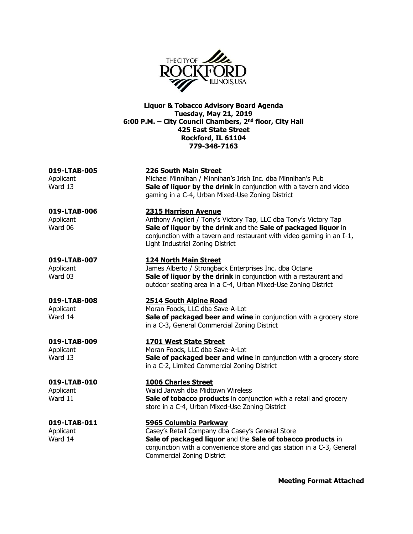

**Liquor & Tobacco Advisory Board Agenda Tuesday, May 21, 2019 6:00 P.M. – City Council Chambers, 2nd floor, City Hall 425 East State Street Rockford, IL 61104 779-348-7163**

# **019-LTAB-005 226 South Main Street**

Applicant Michael Minnihan / Minnihan's Irish Inc. dba Minnihan's Pub Ward 13 **Sale of liquor by the drink** in conjunction with a tavern and video gaming in a C-4, Urban Mixed-Use Zoning District

## **019-LTAB-006 2315 Harrison Avenue**

Applicant Anthony Angileri / Tony's Victory Tap, LLC dba Tony's Victory Tap Ward 06 **Sale of liquor by the drink** and the **Sale of packaged liquor** in conjunction with a tavern and restaurant with video gaming in an I-1, Light Industrial Zoning District

### **019-LTAB-007 124 North Main Street**

Applicant James Alberto / Strongback Enterprises Inc. dba Octane Ward 03 **Sale of liquor by the drink** in conjunction with a restaurant and outdoor seating area in a C-4, Urban Mixed-Use Zoning District

## **019-LTAB-008 2514 South Alpine Road**

Applicant Moran Foods, LLC dba Save-A-Lot Ward 14 **Sale of packaged beer and wine** in conjunction with a grocery store in a C-3, General Commercial Zoning District

### **019-LTAB-009 1701 West State Street**

Applicant Moran Foods, LLC dba Save-A-Lot Ward 13 **Sale of packaged beer and wine** in conjunction with a grocery store in a C-2, Limited Commercial Zoning District

**019-LTAB-010 1006 Charles Street** Applicant Walid Jarwsh dba Midtown Wireless Ward 11 **Sale of tobacco products** in conjunction with a retail and grocery store in a C-4, Urban Mixed-Use Zoning District

## **019-LTAB-011 5965 Columbia Parkway**

Applicant Casey's Retail Company dba Casey's General Store Ward 14 **Sale of packaged liquor** and the **Sale of tobacco products** in conjunction with a convenience store and gas station in a C-3, General Commercial Zoning District

**Meeting Format Attached**